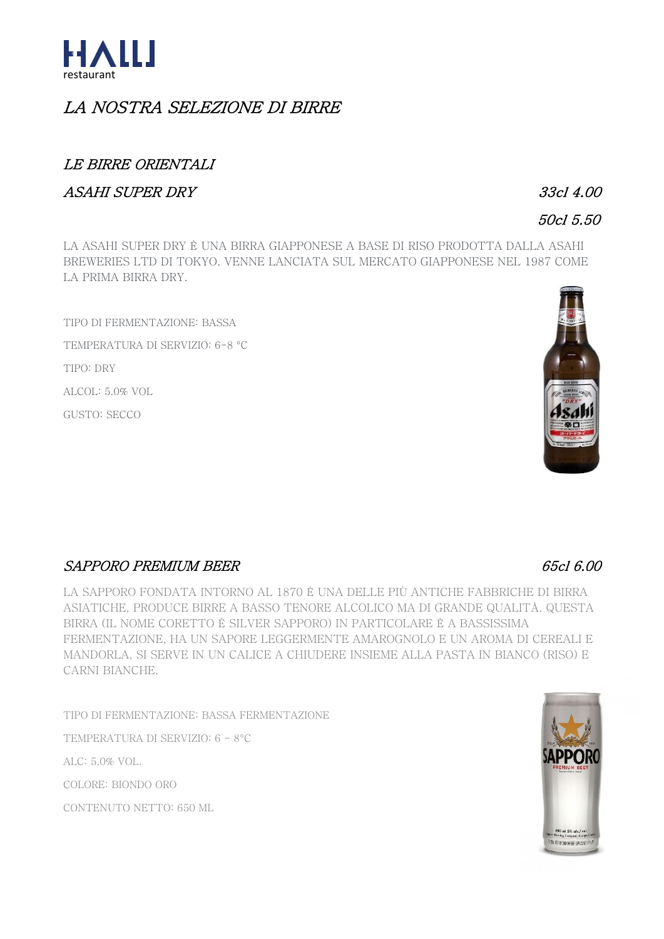

# LA NOSTRA SELEZIONE DI BIRRE

## **LE BIRRE ORIENTALI**

### **ASAHI SUPER DRY**

 $33c14.00$ 

## 50cl 5.50

LA ASAHI SUPER DRY È UNA BIRRA GIAPPONESE A BASE DI RISO PRODOTTA DALLA ASAHI BREWERIES LTD DI TOKYO. VENNE LANCIATA SUL MERCATO GIAPPONESE NEL 1987 COME LA PRIMA BIRRA DRY.

TIPO DI FERMENTAZIONE: BASSA TEMPERATURA DI SERVIZIO: 6-8 °C TIPO: DRY ALCOL: 5.0% VOL GUSTO: SECCO



## **SAPPORO PREMIUM BEER**

LA SAPPORO FONDATA INTORNO AL 1870 È UNA DELLE PIÙ ANTICHE FABBRICHE DI BIRRA ASIATICHE, PRODUCE BIRRE A BASSO TENORE ALCOLICO MA DI GRANDE QUALITÀ, QUESTA BIRRA (IL NOME CORETTO È SILVER SAPPORO) IN PARTICOLARE È A BASSISSIMA FERMENTAZIONE. HA UN SAPORE LEGGERMENTE AMAROGNOLO E UN AROMA DI CEREALI E MANDORLA. SI SERVE IN UN CALICE A CHIUDERE INSIEME ALLA PASTA IN BIANCO (RISO) E CARNI BIANCHE.

TIPO DI FERMENTAZIONE: BASSA FERMENTAZIONE

TEMPERATURA DI SERVIZIO: 6 - 8°C

ALC: 5.0% VOL.

COLORE: BIONDO ORO

CONTENUTO NETTO: 650 ML



## 65cl 6.00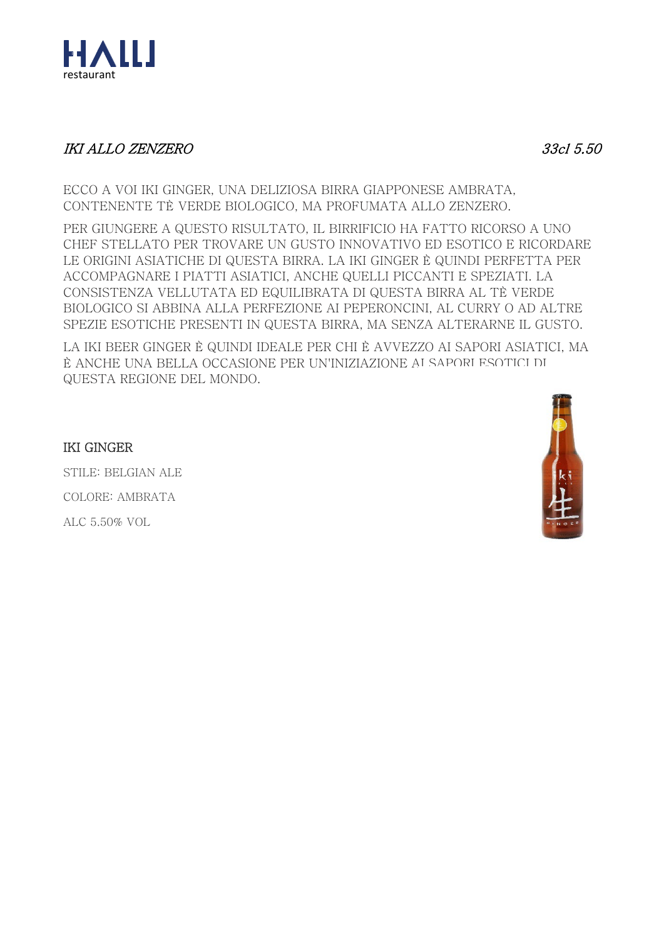

## **IKI ALLO ZENZERO**

33cl 5.50

ECCO A VOI IKI GINGER, UNA DELIZIOSA BIRRA GIAPPONESE AMBRATA. CONTENENTE TÈ VERDE BIOLOGICO, MA PROFUMATA ALLO ZENZERO.

PER GIUNGERE A QUESTO RISULTATO. IL BIRRIFICIO HA FATTO RICORSO A UNO CHEF STELLATO PER TROVARE UN GUSTO INNOVATIVO ED ESOTICO E RICORDARE LE ORIGINI ASIATICHE DI QUESTA BIRRA. LA IKI GINGER È QUINDI PERFETTA PER ACCOMPAGNARE I PIATTI ASIATICI, ANCHE QUELLI PICCANTI E SPEZIATI. LA CONSISTENZA VELLUTATA ED EQUILIBRATA DI QUESTA BIRRA AL TÈ VERDE BIOLOGICO SI ABBINA ALLA PERFEZIONE AI PEPERONCINI, AL CURRY O AD ALTRE SPEZIE ESOTICHE PRESENTI IN QUESTA BIRRA, MA SENZA ALTERARNE IL GUSTO.

LA IKI BEER GINGER È QUINDI IDEALE PER CHI È AVVEZZO AI SAPORI ASIATICI. MA È ANCHE UNA BELLA OCCASIONE PER UN'INIZIAZIONE AI SAPORI ESOTICI DI QUESTA REGIONE DEL MONDO.



### **IKI GINGER**

STILE: BELGIAN ALE COLORE: AMBRATA ALC 5.50% VOL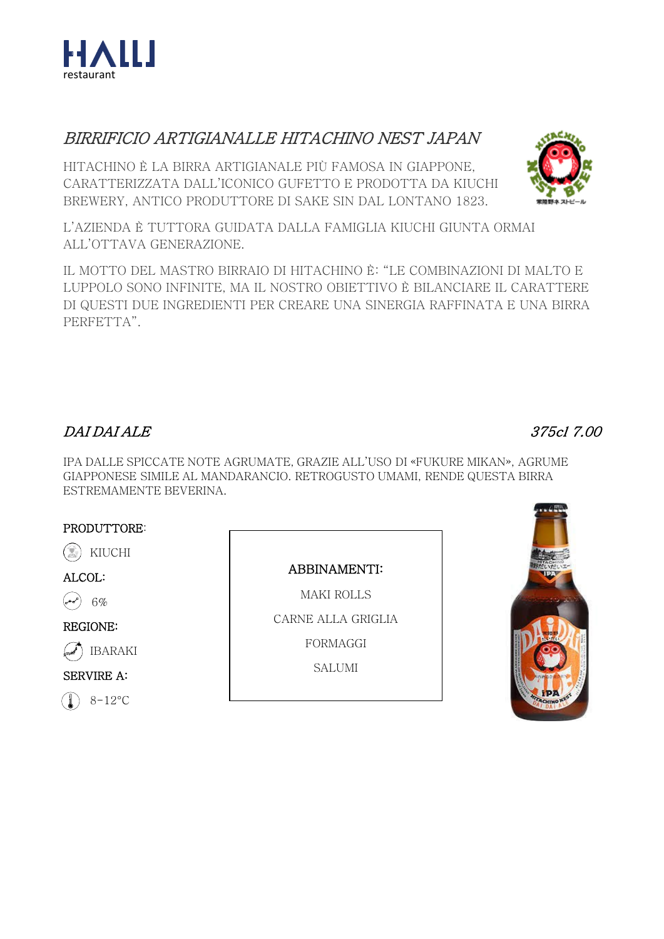

# BIRRIFICIO ARTIGIANALLE HITACHINO NEST JAPAN

HITACHINO È LA BIRRA ARTIGIANALE PIÙ FAMOSA IN GIAPPONE. CARATTERIZZATA DALL'ICONICO GUFETTO E PRODOTTA DA KIUCHI BREWERY, ANTICO PRODUTTORE DI SAKE SIN DAL LONTANO 1823.

L'AZIENDA È TUTTORA GUIDATA DALLA FAMIGLIA KIUCHI GIUNTA ORMAI ALL'OTTAVA GENERAZIONE.

IL MOTTO DEL MASTRO BIRRAIO DI HITACHINO È: "LE COMBINAZIONI DI MALTO E LUPPOLO SONO INFINITE, MA IL NOSTRO OBIETTIVO È BILANCIARE IL CARATTERE DI QUESTI DUE INGREDIENTI PER CREARE UNA SINERGIA RAFFINATA E UNA BIRRA PERFETTA".

## **DAI DAI ALE**

IPA DALLE SPICCATE NOTE AGRUMATE. GRAZIE ALL'USO DI «FUKURE MIKAN». AGRUME GIAPPONESE SIMILE AL MANDARANCIO. RETROGUSTO UMAMI, RENDE QUESTA BIRRA ESTREMAMENTE BEVERINA.

#### PRODUTTORE:

KIUCHI

ALCOL:

 $6%$ 

#### **REGIONE:**

**IBARAKI** 

**SERVIRE A:** 

 $8-12\degree C$ 

**ABBINAMENTI:** 

**MAKI ROLLS** CARNE ALLA GRIGLIA FORMAGGI

**SALUMI** 





375cl 7.00